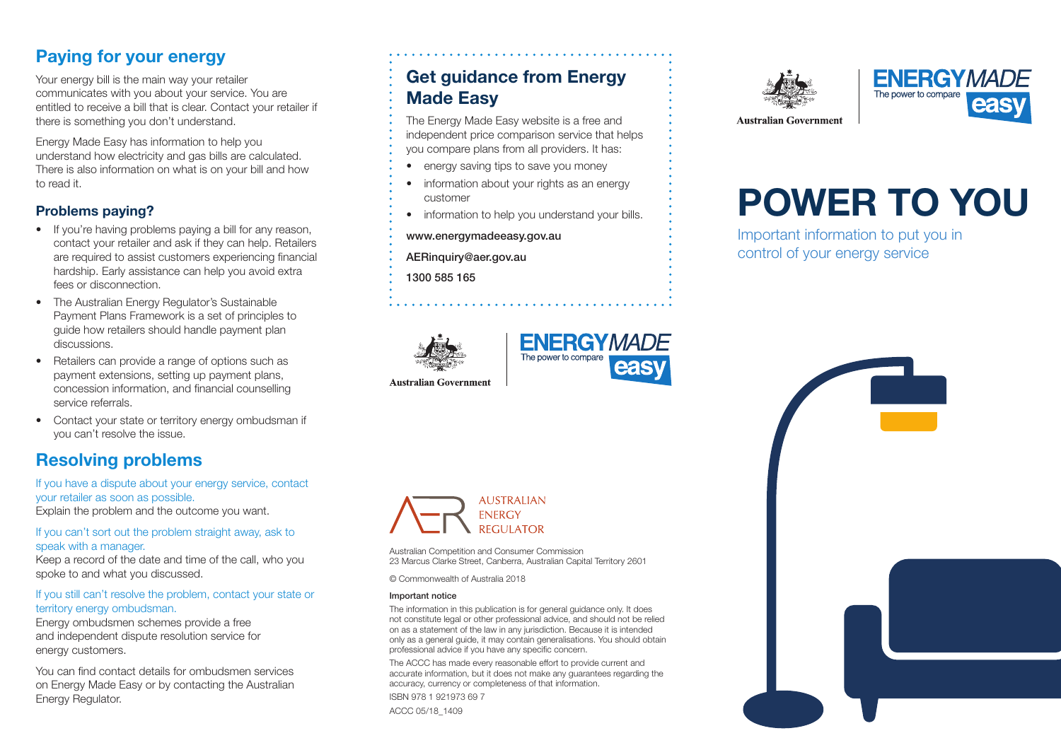# Paying for your energy

Your energy bill is the main way your retailer communicates with you about your service. You are entitled to receive a bill that is clear. Contact your retailer if there is something you don't understand.

Energy Made Easy has information to help you understand how electricity and gas bills are calculated. There is also information on what is on your bill and how to read it.

### Problems paying?

- If you're having problems paying a bill for any reason, contact your retailer and ask if they can help. Retailers are required to assist customers experiencing financial hardship. Early assistance can help you avoid extra fees or disconnection.
- The Australian Energy Regulator's Sustainable Payment Plans Framework is a set of principles to guide how retailers should handle payment plan discussions.
- Retailers can provide a range of options such as payment extensions, setting up payment plans, concession information, and financial counselling service referrals.
- Contact your state or territory energy ombudsman if you can't resolve the issue.

# Resolving problems

If you have a dispute about your energy service, contact your retailer as soon as possible. Explain the problem and the outcome you want.

#### If you can't sort out the problem straight away, ask to speak with a manager.

Keep a record of the date and time of the call, who you spoke to and what you discussed.

### If you still can't resolve the problem, contact your state or territory energy ombudsman.

Energy ombudsmen schemes provide a free and independent dispute resolution service for energy customers.

You can find contact details for ombudsmen services on Energy Made Easy or by contacting the Australian Energy Regulator.

## Get guidance from Energy Made Easy

The Energy Made Easy website is a free and independent price comparison service that helps you compare plans from all providers. It has:

- energy saving tips to save you money
- information about your rights as an energy customer
- information to help you understand your bills.

- www.energymadeeasy.gov.au
- AERinquiry@aer.gov.au
- 1300 585 165





**Australian Government** 



Australian Competition and Consumer Commission 23 Marcus Clarke Street, Canberra, Australian Capital Territory 2601

© Commonwealth of Australia 2018

#### Important notice

The information in this publication is for general guidance only. It does not constitute legal or other professional advice, and should not be relied on as a statement of the law in any jurisdiction. Because it is intended only as a general guide, it may contain generalisations. You should obtain professional advice if you have any specific concern.

The ACCC has made every reasonable effort to provide current and accurate information, but it does not make any guarantees regarding the accuracy, currency or completeness of that information. ISBN 978 1 921973 69 7

ACCC 05/18\_1409





# POWER TO YOU

Important information to put you in control of your energy service